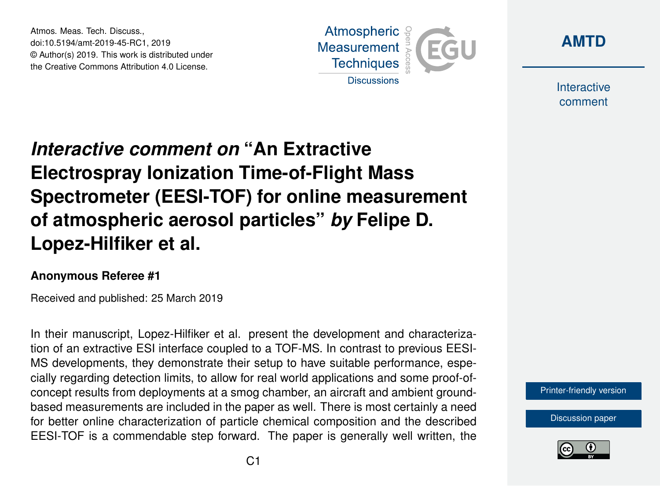Atmos. Meas. Tech. Discuss., doi:10.5194/amt-2019-45-RC1, 2019 © Author(s) 2019. This work is distributed under the Creative Commons Attribution 4.0 License.





Interactive comment

## *Interactive comment on* **"An Extractive Electrospray Ionization Time-of-Flight Mass Spectrometer (EESI-TOF) for online measurement of atmospheric aerosol particles"** *by* **Felipe D. Lopez-Hilfiker et al.**

## **Anonymous Referee #1**

Received and published: 25 March 2019

In their manuscript, Lopez-Hilfiker et al. present the development and characterization of an extractive ESI interface coupled to a TOF-MS. In contrast to previous EESI-MS developments, they demonstrate their setup to have suitable performance, especially regarding detection limits, to allow for real world applications and some proof-ofconcept results from deployments at a smog chamber, an aircraft and ambient groundbased measurements are included in the paper as well. There is most certainly a need for better online characterization of particle chemical composition and the described EESI-TOF is a commendable step forward. The paper is generally well written, the

[Printer-friendly version](https://www.atmos-meas-tech-discuss.net/amt-2019-45/amt-2019-45-RC1-print.pdf)

[Discussion paper](https://www.atmos-meas-tech-discuss.net/amt-2019-45)

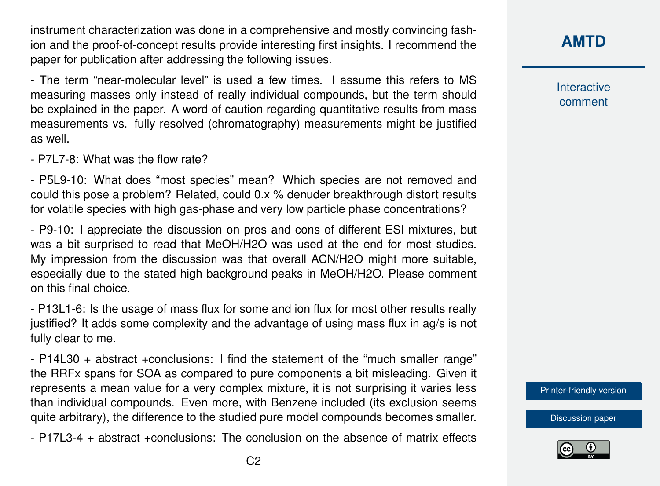instrument characterization was done in a comprehensive and mostly convincing fashion and the proof-of-concept results provide interesting first insights. I recommend the paper for publication after addressing the following issues.

- The term "near-molecular level" is used a few times. I assume this refers to MS measuring masses only instead of really individual compounds, but the term should be explained in the paper. A word of caution regarding quantitative results from mass measurements vs. fully resolved (chromatography) measurements might be justified as well.

- P7L7-8: What was the flow rate?

- P5L9-10: What does "most species" mean? Which species are not removed and could this pose a problem? Related, could 0.x % denuder breakthrough distort results for volatile species with high gas-phase and very low particle phase concentrations?

- P9-10: I appreciate the discussion on pros and cons of different ESI mixtures, but was a bit surprised to read that MeOH/H2O was used at the end for most studies. My impression from the discussion was that overall ACN/H2O might more suitable, especially due to the stated high background peaks in MeOH/H2O. Please comment on this final choice.

- P13L1-6: Is the usage of mass flux for some and ion flux for most other results really justified? It adds some complexity and the advantage of using mass flux in ag/s is not fully clear to me.

- P14L30 + abstract +conclusions: I find the statement of the "much smaller range" the RRFx spans for SOA as compared to pure components a bit misleading. Given it represents a mean value for a very complex mixture, it is not surprising it varies less than individual compounds. Even more, with Benzene included (its exclusion seems quite arbitrary), the difference to the studied pure model compounds becomes smaller.

- P17L3-4 + abstract +conclusions: The conclusion on the absence of matrix effects

**[AMTD](https://www.atmos-meas-tech-discuss.net/)**

Interactive comment

[Printer-friendly version](https://www.atmos-meas-tech-discuss.net/amt-2019-45/amt-2019-45-RC1-print.pdf)

[Discussion paper](https://www.atmos-meas-tech-discuss.net/amt-2019-45)